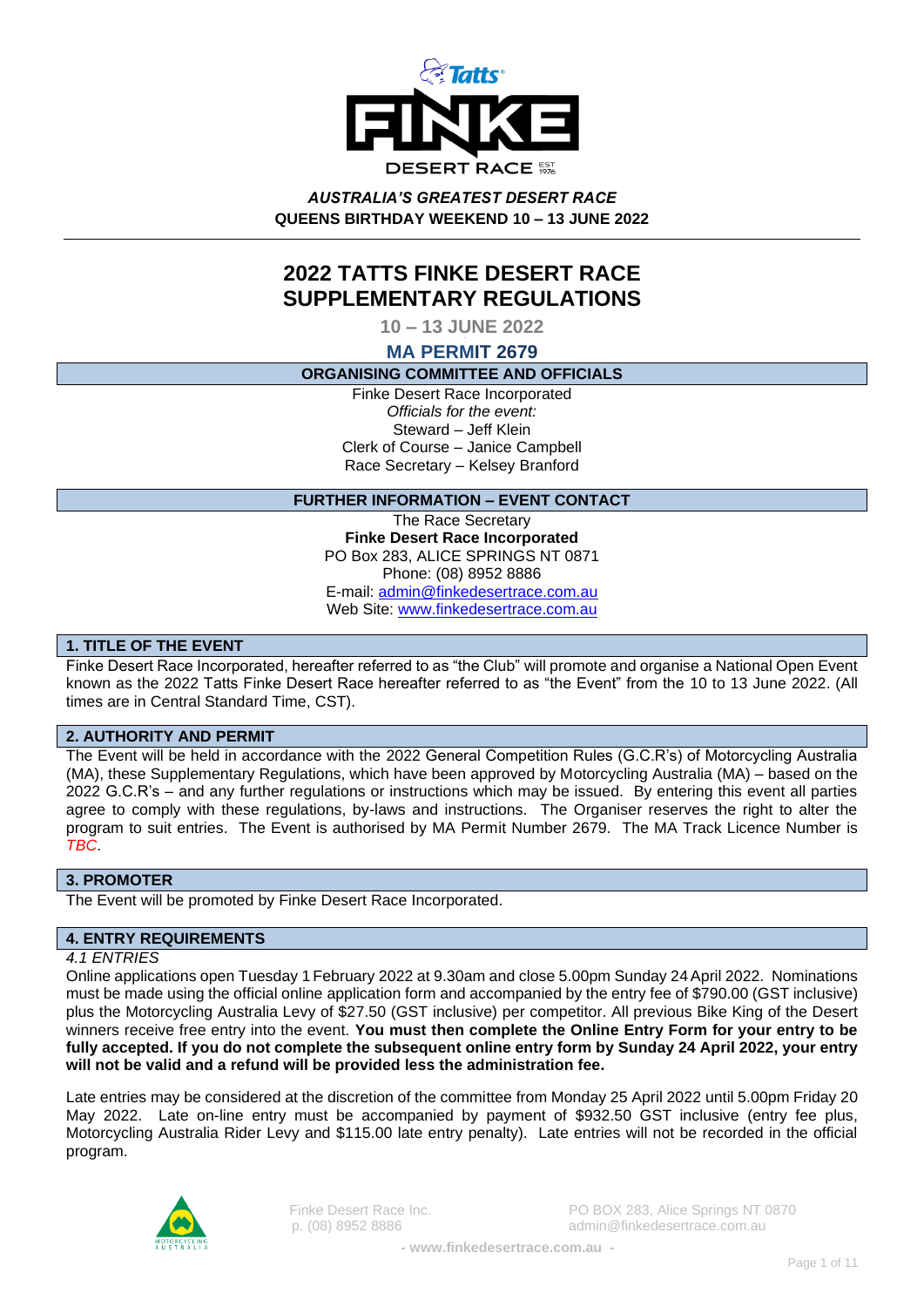

*AUSTRALIA'S GREATEST DESERT RACE* **QUEENS BIRTHDAY WEEKEND 10 – 13 JUNE 2022**

# **2022 TATTS FINKE DESERT RACE SUPPLEMENTARY REGULATIONS**

**10 – 13 JUNE 2022**

**MA PERMIT 2679**

### **ORGANISING COMMITTEE AND OFFICIALS**

Finke Desert Race Incorporated *Officials for the event:* Steward – Jeff Klein Clerk of Course – Janice Campbell Race Secretary – Kelsey Branford

### **FURTHER INFORMATION – EVENT CONTACT**

The Race Secretary **Finke Desert Race Incorporated** PO Box 283, ALICE SPRINGS NT 0871 Phone: (08) 8952 8886 E-mail: [admin@finkedesertrace.com.au](mailto:admin@finkedesertrace.com.au) Web Site: [www.finkedesertrace.com.au](http://www.finkedesertrace.com.au/)

# **1. TITLE OF THE EVENT**

Finke Desert Race Incorporated, hereafter referred to as "the Club" will promote and organise a National Open Event known as the 2022 Tatts Finke Desert Race hereafter referred to as "the Event" from the 10 to 13 June 2022. (All times are in Central Standard Time, CST).

# **2. AUTHORITY AND PERMIT**

The Event will be held in accordance with the 2022 General Competition Rules (G.C.R's) of Motorcycling Australia (MA), these Supplementary Regulations, which have been approved by Motorcycling Australia (MA) – based on the 2022 G.C.R's – and any further regulations or instructions which may be issued. By entering this event all parties agree to comply with these regulations, by-laws and instructions. The Organiser reserves the right to alter the program to suit entries. The Event is authorised by MA Permit Number 2679. The MA Track Licence Number is *TBC*.

### **3. PROMOTER**

The Event will be promoted by Finke Desert Race Incorporated.

# **4. ENTRY REQUIREMENTS**

#### *4.1 ENTRIES*

Online applications open Tuesday 1 February 2022 at 9.30am and close 5.00pm Sunday 24April 2022. Nominations must be made using the official online application form and accompanied by the entry fee of \$790.00 (GST inclusive) plus the Motorcycling Australia Levy of \$27.50 (GST inclusive) per competitor. All previous Bike King of the Desert winners receive free entry into the event. **You must then complete the Online Entry Form for your entry to be fully accepted. If you do not complete the subsequent online entry form by Sunday 24 April 2022, your entry will not be valid and a refund will be provided less the administration fee.**

Late entries may be considered at the discretion of the committee from Monday 25 April 2022 until 5.00pm Friday 20 May 2022. Late on-line entry must be accompanied by payment of \$932.50 GST inclusive (entry fee plus, Motorcycling Australia Rider Levy and \$115.00 late entry penalty). Late entries will not be recorded in the official program.

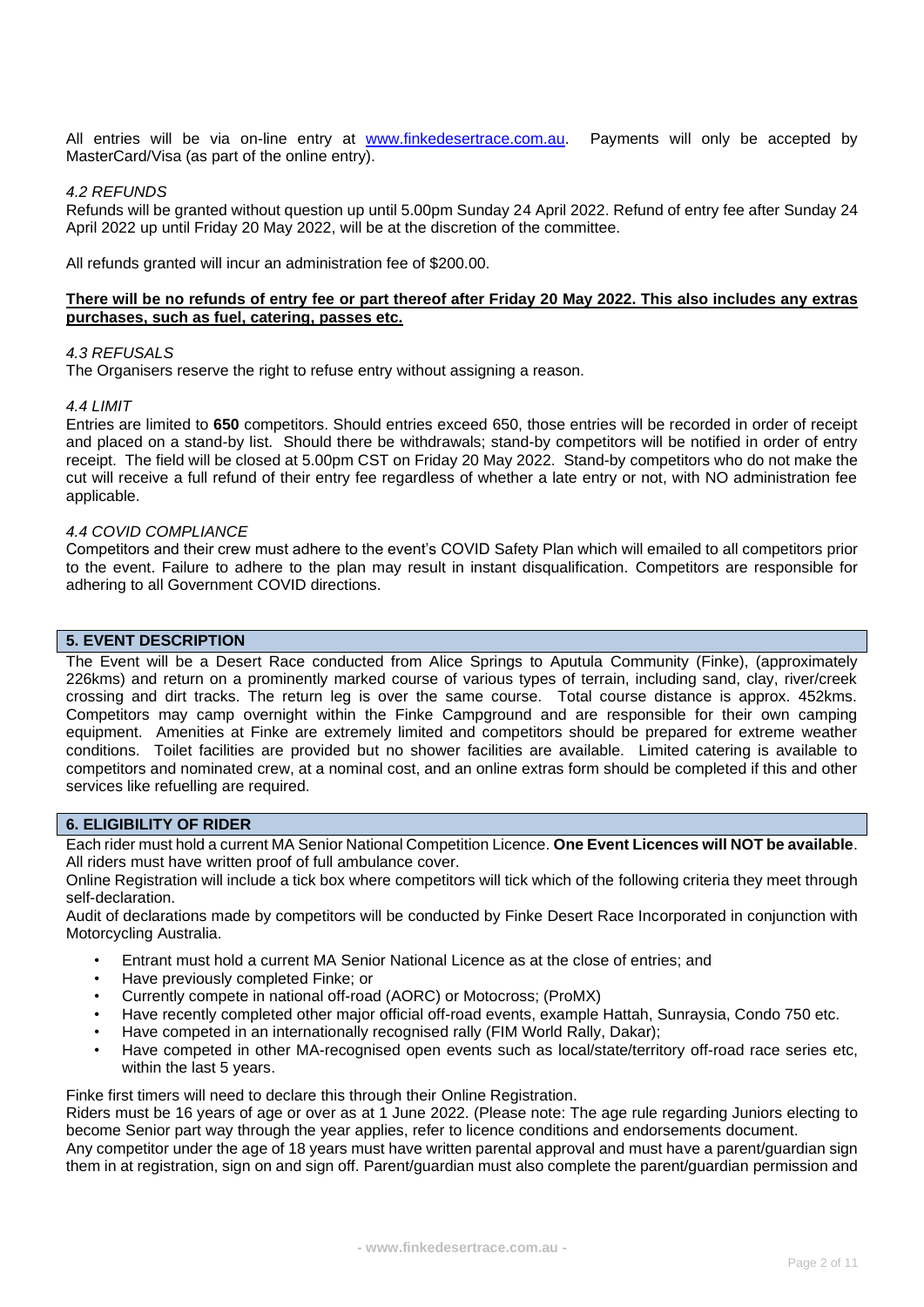All entries will be via on-line entry at [www.finkedesertrace.com.au.](http://finkedesertrace.com.au/) Payments will only be accepted by MasterCard/Visa (as part of the online entry).

#### *4.2 REFUNDS*

Refunds will be granted without question up until 5.00pm Sunday 24 April 2022. Refund of entry fee after Sunday 24 April 2022 up until Friday 20 May 2022, will be at the discretion of the committee.

All refunds granted will incur an administration fee of \$200.00.

### **There will be no refunds of entry fee or part thereof after Friday 20 May 2022. This also includes any extras purchases, such as fuel, catering, passes etc.**

#### *4.3 REFUSALS*

The Organisers reserve the right to refuse entry without assigning a reason.

#### *4.4 LIMIT*

Entries are limited to **650** competitors. Should entries exceed 650, those entries will be recorded in order of receipt and placed on a stand-by list. Should there be withdrawals; stand-by competitors will be notified in order of entry receipt. The field will be closed at 5.00pm CST on Friday 20 May 2022. Stand-by competitors who do not make the cut will receive a full refund of their entry fee regardless of whether a late entry or not, with NO administration fee applicable.

#### *4.4 COVID COMPLIANCE*

Competitors and their crew must adhere to the event's COVID Safety Plan which will emailed to all competitors prior to the event. Failure to adhere to the plan may result in instant disqualification. Competitors are responsible for adhering to all Government COVID directions.

### **5. EVENT DESCRIPTION**

The Event will be a Desert Race conducted from Alice Springs to Aputula Community (Finke), (approximately 226kms) and return on a prominently marked course of various types of terrain, including sand, clay, river/creek crossing and dirt tracks. The return leg is over the same course. Total course distance is approx. 452kms. Competitors may camp overnight within the Finke Campground and are responsible for their own camping equipment. Amenities at Finke are extremely limited and competitors should be prepared for extreme weather conditions. Toilet facilities are provided but no shower facilities are available. Limited catering is available to competitors and nominated crew, at a nominal cost, and an online extras form should be completed if this and other services like refuelling are required.

### **6. ELIGIBILITY OF RIDER**

Each rider must hold a current MA Senior National Competition Licence. **One Event Licences will NOT be available**. All riders must have written proof of full ambulance cover.

Online Registration will include a tick box where competitors will tick which of the following criteria they meet through self-declaration.

Audit of declarations made by competitors will be conducted by Finke Desert Race Incorporated in conjunction with Motorcycling Australia.

- Entrant must hold a current MA Senior National Licence as at the close of entries; and
- Have previously completed Finke; or
- Currently compete in national off-road (AORC) or Motocross; (ProMX)
- Have recently completed other major official off-road events, example Hattah, Sunraysia, Condo 750 etc.
- Have competed in an internationally recognised rally (FIM World Rally, Dakar);
- Have competed in other MA-recognised open events such as local/state/territory off-road race series etc, within the last 5 years.

Finke first timers will need to declare this through their Online Registration.

Riders must be 16 years of age or over as at 1 June 2022. (Please note: The age rule regarding Juniors electing to become Senior part way through the year applies, refer to licence conditions and endorsements document.

Any competitor under the age of 18 years must have written parental approval and must have a parent/guardian sign them in at registration, sign on and sign off. Parent/guardian must also complete the parent/guardian permission and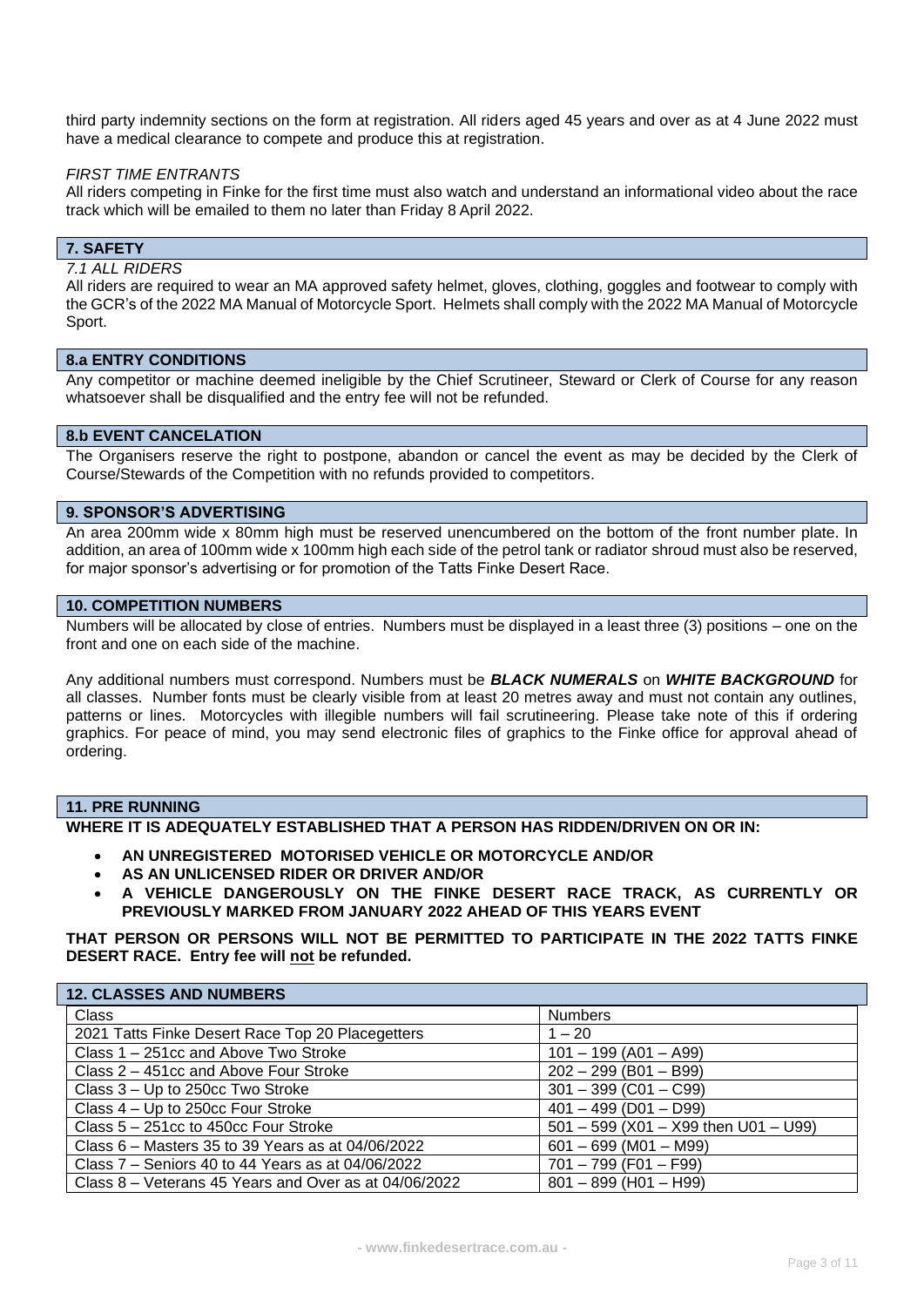third party indemnity sections on the form at registration. All riders aged 45 years and over as at 4 June 2022 must have a medical clearance to compete and produce this at registration.

#### *FIRST TIME ENTRANTS*

All riders competing in Finke for the first time must also watch and understand an informational video about the race track which will be emailed to them no later than Friday 8 April 2022.

# **7. SAFETY**

### *7.1 ALL RIDERS*

All riders are required to wear an MA approved safety helmet, gloves, clothing, goggles and footwear to comply with the GCR's of the 2022 MA Manual of Motorcycle Sport. Helmets shall comply with the 2022 MA Manual of Motorcycle Sport.

### **8.a ENTRY CONDITIONS**

Any competitor or machine deemed ineligible by the Chief Scrutineer, Steward or Clerk of Course for any reason whatsoever shall be disqualified and the entry fee will not be refunded.

### **8.b EVENT CANCELATION**

The Organisers reserve the right to postpone, abandon or cancel the event as may be decided by the Clerk of Course/Stewards of the Competition with no refunds provided to competitors.

#### **9. SPONSOR'S ADVERTISING**

An area 200mm wide x 80mm high must be reserved unencumbered on the bottom of the front number plate. In addition, an area of 100mm wide x 100mm high each side of the petrol tank or radiator shroud must also be reserved, for major sponsor's advertising or for promotion of the Tatts Finke Desert Race.

#### **10. COMPETITION NUMBERS**

Numbers will be allocated by close of entries. Numbers must be displayed in a least three (3) positions – one on the front and one on each side of the machine.

Any additional numbers must correspond. Numbers must be *BLACK NUMERALS* on *WHITE BACKGROUND* for all classes. Number fonts must be clearly visible from at least 20 metres away and must not contain any outlines, patterns or lines. Motorcycles with illegible numbers will fail scrutineering. Please take note of this if ordering graphics. For peace of mind, you may send electronic files of graphics to the Finke office for approval ahead of ordering.

### **11. PRE RUNNING**

**WHERE IT IS ADEQUATELY ESTABLISHED THAT A PERSON HAS RIDDEN/DRIVEN ON OR IN:**

- **AN UNREGISTERED MOTORISED VEHICLE OR MOTORCYCLE AND/OR**
- **AS AN UNLICENSED RIDER OR DRIVER AND/OR**
- **A VEHICLE DANGEROUSLY ON THE FINKE DESERT RACE TRACK, AS CURRENTLY OR PREVIOUSLY MARKED FROM JANUARY 2022 AHEAD OF THIS YEARS EVENT**

**THAT PERSON OR PERSONS WILL NOT BE PERMITTED TO PARTICIPATE IN THE 2022 TATTS FINKE DESERT RACE. Entry fee will not be refunded.**

| <b>12. CLASSES AND NUMBERS</b>                        |                                        |
|-------------------------------------------------------|----------------------------------------|
| Class                                                 | <b>Numbers</b>                         |
| 2021 Tatts Finke Desert Race Top 20 Placegetters      | $1 - 20$                               |
| Class 1 – 251cc and Above Two Stroke                  | $101 - 199$ (A01 - A99)                |
| Class 2 – 451cc and Above Four Stroke                 | $202 - 299$ (B01 - B99)                |
| Class 3 – Up to 250cc Two Stroke                      | $301 - 399$ (C01 - C99)                |
| Class 4 – Up to 250cc Four Stroke                     | $401 - 499$ (D01 - D99)                |
| Class 5 - 251cc to 450cc Four Stroke                  | $501 - 599$ (X01 - X99 then U01 - U99) |
| Class $6$ – Masters 35 to 39 Years as at 04/06/2022   | $601 - 699$ (M01 - M99)                |
| Class 7 – Seniors 40 to 44 Years as at 04/06/2022     | $701 - 799$ (F01 - F99)                |
| Class 8 – Veterans 45 Years and Over as at 04/06/2022 | $801 - 899$ (H01 - H99)                |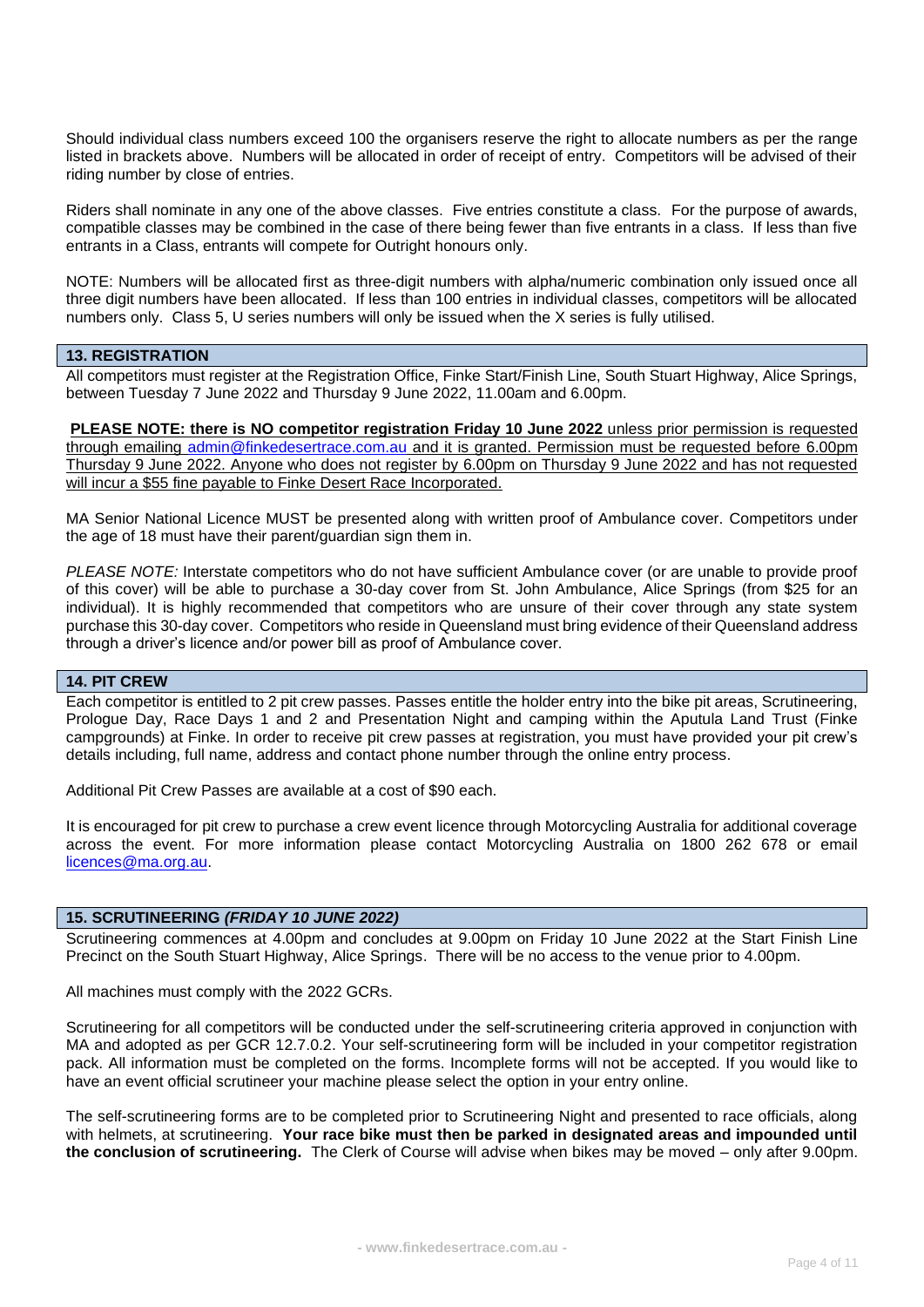Should individual class numbers exceed 100 the organisers reserve the right to allocate numbers as per the range listed in brackets above. Numbers will be allocated in order of receipt of entry. Competitors will be advised of their riding number by close of entries.

Riders shall nominate in any one of the above classes. Five entries constitute a class. For the purpose of awards, compatible classes may be combined in the case of there being fewer than five entrants in a class. If less than five entrants in a Class, entrants will compete for Outright honours only.

NOTE: Numbers will be allocated first as three-digit numbers with alpha/numeric combination only issued once all three digit numbers have been allocated. If less than 100 entries in individual classes, competitors will be allocated numbers only. Class 5, U series numbers will only be issued when the X series is fully utilised.

### **13. REGISTRATION**

All competitors must register at the Registration Office, Finke Start/Finish Line, South Stuart Highway, Alice Springs, between Tuesday 7 June 2022 and Thursday 9 June 2022, 11.00am and 6.00pm.

**PLEASE NOTE: there is NO competitor registration Friday 10 June 2022** unless prior permission is requested through emailing [admin@finkedesertrace.com.au](mailto:admin@finkedesertrace.com.au) and it is granted. Permission must be requested before 6.00pm Thursday 9 June 2022. Anyone who does not register by 6.00pm on Thursday 9 June 2022 and has not requested will incur a \$55 fine payable to Finke Desert Race Incorporated.

MA Senior National Licence MUST be presented along with written proof of Ambulance cover. Competitors under the age of 18 must have their parent/guardian sign them in.

*PLEASE NOTE:* Interstate competitors who do not have sufficient Ambulance cover (or are unable to provide proof of this cover) will be able to purchase a 30-day cover from St. John Ambulance, Alice Springs (from \$25 for an individual). It is highly recommended that competitors who are unsure of their cover through any state system purchase this 30-day cover. Competitors who reside in Queensland must bring evidence of their Queensland address through a driver's licence and/or power bill as proof of Ambulance cover.

# **14. PIT CREW**

Each competitor is entitled to 2 pit crew passes. Passes entitle the holder entry into the bike pit areas, Scrutineering, Prologue Day, Race Days 1 and 2 and Presentation Night and camping within the Aputula Land Trust (Finke campgrounds) at Finke. In order to receive pit crew passes at registration, you must have provided your pit crew's details including, full name, address and contact phone number through the online entry process.

Additional Pit Crew Passes are available at a cost of \$90 each.

It is encouraged for pit crew to purchase a crew event licence through Motorcycling Australia for additional coverage across the event. For more information please contact Motorcycling Australia on 1800 262 678 or email [licences@ma.org.au.](mailto:licences@ma.org.au)

### **15. SCRUTINEERING** *(FRIDAY 10 JUNE 2022)*

Scrutineering commences at 4.00pm and concludes at 9.00pm on Friday 10 June 2022 at the Start Finish Line Precinct on the South Stuart Highway, Alice Springs. There will be no access to the venue prior to 4.00pm.

All machines must comply with the 2022 GCRs.

Scrutineering for all competitors will be conducted under the self-scrutineering criteria approved in conjunction with MA and adopted as per GCR 12.7.0.2. Your self-scrutineering form will be included in your competitor registration pack. All information must be completed on the forms. Incomplete forms will not be accepted. If you would like to have an event official scrutineer your machine please select the option in your entry online.

The self-scrutineering forms are to be completed prior to Scrutineering Night and presented to race officials, along with helmets, at scrutineering. **Your race bike must then be parked in designated areas and impounded until the conclusion of scrutineering.** The Clerk of Course will advise when bikes may be moved – only after 9.00pm.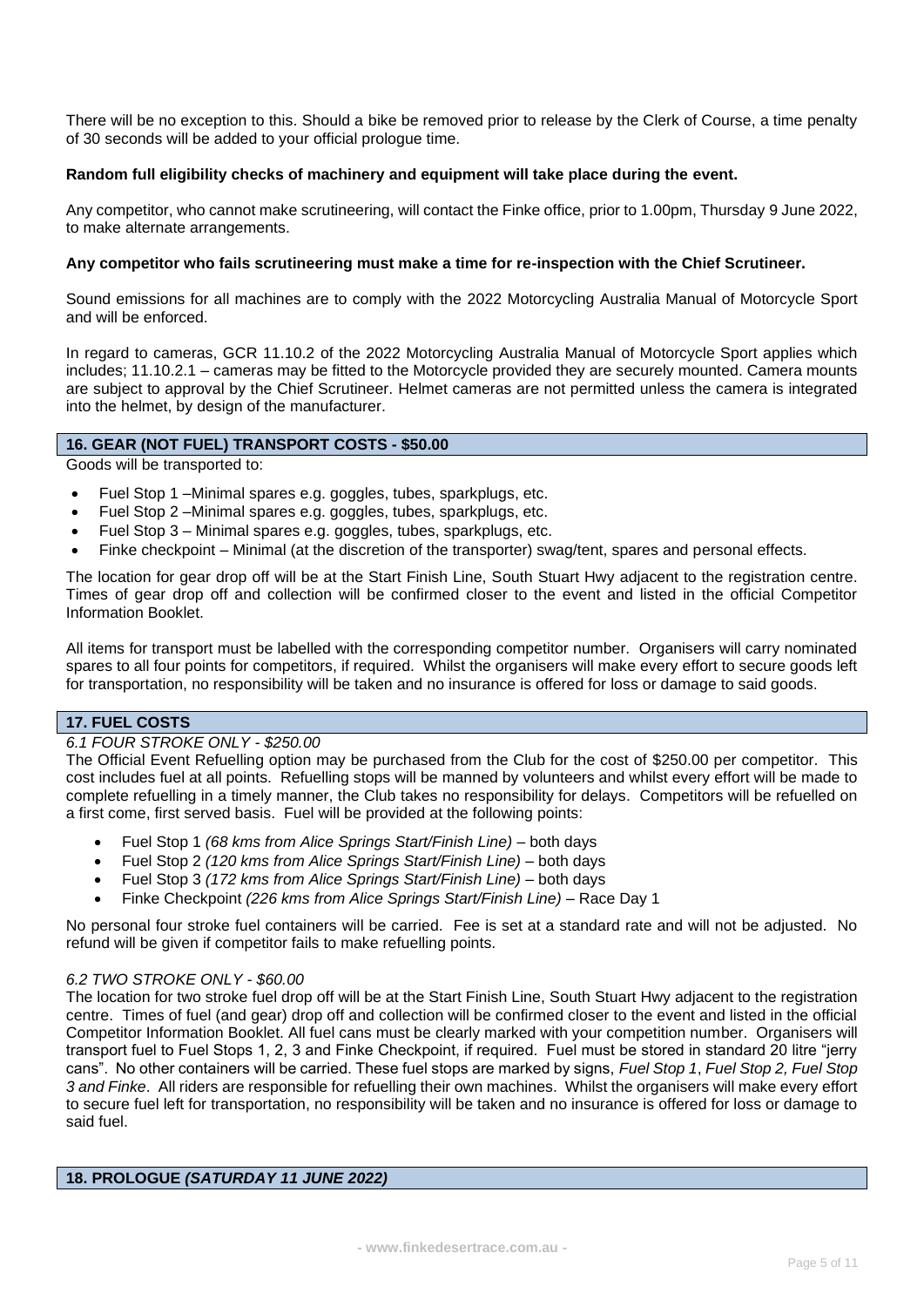There will be no exception to this. Should a bike be removed prior to release by the Clerk of Course, a time penalty of 30 seconds will be added to your official prologue time.

### **Random full eligibility checks of machinery and equipment will take place during the event.**

Any competitor, who cannot make scrutineering, will contact the Finke office, prior to 1.00pm, Thursday 9 June 2022, to make alternate arrangements.

### **Any competitor who fails scrutineering must make a time for re-inspection with the Chief Scrutineer.**

Sound emissions for all machines are to comply with the 2022 Motorcycling Australia Manual of Motorcycle Sport and will be enforced.

In regard to cameras, GCR 11.10.2 of the 2022 Motorcycling Australia Manual of Motorcycle Sport applies which includes; 11.10.2.1 – cameras may be fitted to the Motorcycle provided they are securely mounted. Camera mounts are subject to approval by the Chief Scrutineer. Helmet cameras are not permitted unless the camera is integrated into the helmet, by design of the manufacturer.

### **16. GEAR (NOT FUEL) TRANSPORT COSTS - \$50.00**

Goods will be transported to:

- Fuel Stop 1 –Minimal spares e.g. goggles, tubes, sparkplugs, etc.
- Fuel Stop 2 –Minimal spares e.g. goggles, tubes, sparkplugs, etc.
- Fuel Stop 3 Minimal spares e.g. goggles, tubes, sparkplugs, etc.
- Finke checkpoint Minimal (at the discretion of the transporter) swag/tent, spares and personal effects.

The location for gear drop off will be at the Start Finish Line, South Stuart Hwy adjacent to the registration centre. Times of gear drop off and collection will be confirmed closer to the event and listed in the official Competitor Information Booklet.

All items for transport must be labelled with the corresponding competitor number. Organisers will carry nominated spares to all four points for competitors, if required. Whilst the organisers will make every effort to secure goods left for transportation, no responsibility will be taken and no insurance is offered for loss or damage to said goods.

# **17. FUEL COSTS**

### *6.1 FOUR STROKE ONLY - \$250.00*

The Official Event Refuelling option may be purchased from the Club for the cost of \$250.00 per competitor. This cost includes fuel at all points. Refuelling stops will be manned by volunteers and whilst every effort will be made to complete refuelling in a timely manner, the Club takes no responsibility for delays. Competitors will be refuelled on a first come, first served basis. Fuel will be provided at the following points:

- Fuel Stop 1 *(68 kms from Alice Springs Start/Finish Line)* both days
- Fuel Stop 2 *(120 kms from Alice Springs Start/Finish Line)* both days
- Fuel Stop 3 *(172 kms from Alice Springs Start/Finish Line)* both days
- Finke Checkpoint *(226 kms from Alice Springs Start/Finish Line)* Race Day 1

No personal four stroke fuel containers will be carried. Fee is set at a standard rate and will not be adjusted. No refund will be given if competitor fails to make refuelling points.

### *6.2 TWO STROKE ONLY - \$60.00*

The location for two stroke fuel drop off will be at the Start Finish Line, South Stuart Hwy adjacent to the registration centre. Times of fuel (and gear) drop off and collection will be confirmed closer to the event and listed in the official Competitor Information Booklet. All fuel cans must be clearly marked with your competition number. Organisers will transport fuel to Fuel Stops 1, 2, 3 and Finke Checkpoint, if required. Fuel must be stored in standard 20 litre "jerry cans". No other containers will be carried. These fuel stops are marked by signs, *Fuel Stop 1*, *Fuel Stop 2, Fuel Stop 3 and Finke*. All riders are responsible for refuelling their own machines. Whilst the organisers will make every effort to secure fuel left for transportation, no responsibility will be taken and no insurance is offered for loss or damage to said fuel.

### **18. PROLOGUE** *(SATURDAY 11 JUNE 2022)*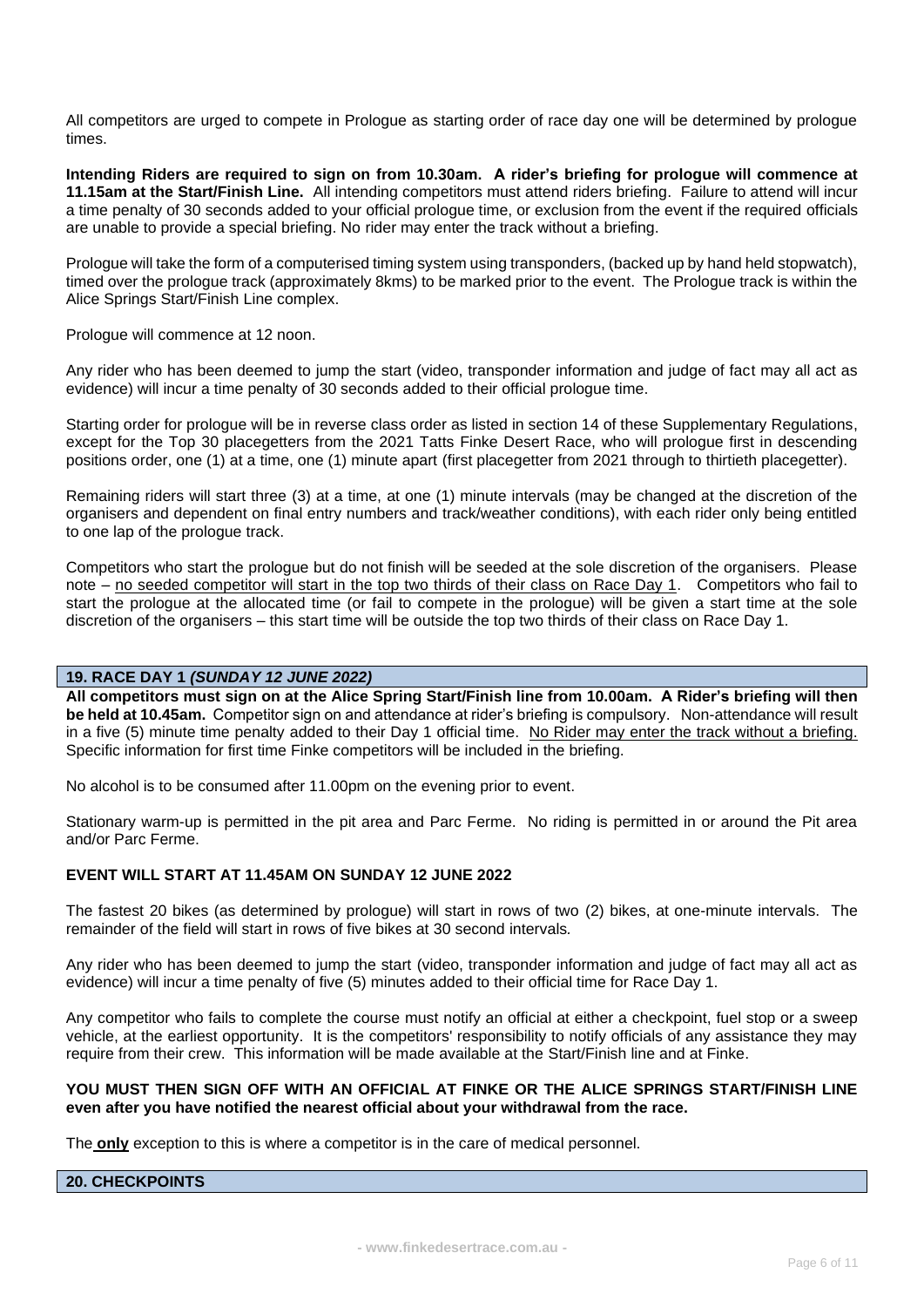All competitors are urged to compete in Prologue as starting order of race day one will be determined by prologue times.

**Intending Riders are required to sign on from 10.30am. A rider's briefing for prologue will commence at 11.15am at the Start/Finish Line.** All intending competitors must attend riders briefing. Failure to attend will incur a time penalty of 30 seconds added to your official prologue time, or exclusion from the event if the required officials are unable to provide a special briefing. No rider may enter the track without a briefing.

Prologue will take the form of a computerised timing system using transponders, (backed up by hand held stopwatch), timed over the prologue track (approximately 8kms) to be marked prior to the event. The Prologue track is within the Alice Springs Start/Finish Line complex.

Prologue will commence at 12 noon.

Any rider who has been deemed to jump the start (video, transponder information and judge of fact may all act as evidence) will incur a time penalty of 30 seconds added to their official prologue time.

Starting order for prologue will be in reverse class order as listed in section 14 of these Supplementary Regulations, except for the Top 30 placegetters from the 2021 Tatts Finke Desert Race, who will prologue first in descending positions order, one (1) at a time, one (1) minute apart (first placegetter from 2021 through to thirtieth placegetter).

Remaining riders will start three (3) at a time, at one (1) minute intervals (may be changed at the discretion of the organisers and dependent on final entry numbers and track/weather conditions), with each rider only being entitled to one lap of the prologue track.

Competitors who start the prologue but do not finish will be seeded at the sole discretion of the organisers. Please note – no seeded competitor will start in the top two thirds of their class on Race Day 1. Competitors who fail to start the prologue at the allocated time (or fail to compete in the prologue) will be given a start time at the sole discretion of the organisers – this start time will be outside the top two thirds of their class on Race Day 1.

### **19. RACE DAY 1** *(SUNDAY 12 JUNE 2022)*

**All competitors must sign on at the Alice Spring Start/Finish line from 10.00am. A Rider's briefing will then be held at 10.45am.** Competitor sign on and attendance at rider's briefing is compulsory. Non-attendance will result in a five (5) minute time penalty added to their Day 1 official time. No Rider may enter the track without a briefing. Specific information for first time Finke competitors will be included in the briefing.

No alcohol is to be consumed after 11.00pm on the evening prior to event.

Stationary warm-up is permitted in the pit area and Parc Ferme. No riding is permitted in or around the Pit area and/or Parc Ferme.

### **EVENT WILL START AT 11.45AM ON SUNDAY 12 JUNE 2022**

The fastest 20 bikes (as determined by prologue) will start in rows of two (2) bikes, at one-minute intervals. The remainder of the field will start in rows of five bikes at 30 second intervals*.*

Any rider who has been deemed to jump the start (video, transponder information and judge of fact may all act as evidence) will incur a time penalty of five (5) minutes added to their official time for Race Day 1.

Any competitor who fails to complete the course must notify an official at either a checkpoint, fuel stop or a sweep vehicle, at the earliest opportunity. It is the competitors' responsibility to notify officials of any assistance they may require from their crew. This information will be made available at the Start/Finish line and at Finke.

### **YOU MUST THEN SIGN OFF WITH AN OFFICIAL AT FINKE OR THE ALICE SPRINGS START/FINISH LINE even after you have notified the nearest official about your withdrawal from the race.**

The **only** exception to this is where a competitor is in the care of medical personnel.

# **20. CHECKPOINTS**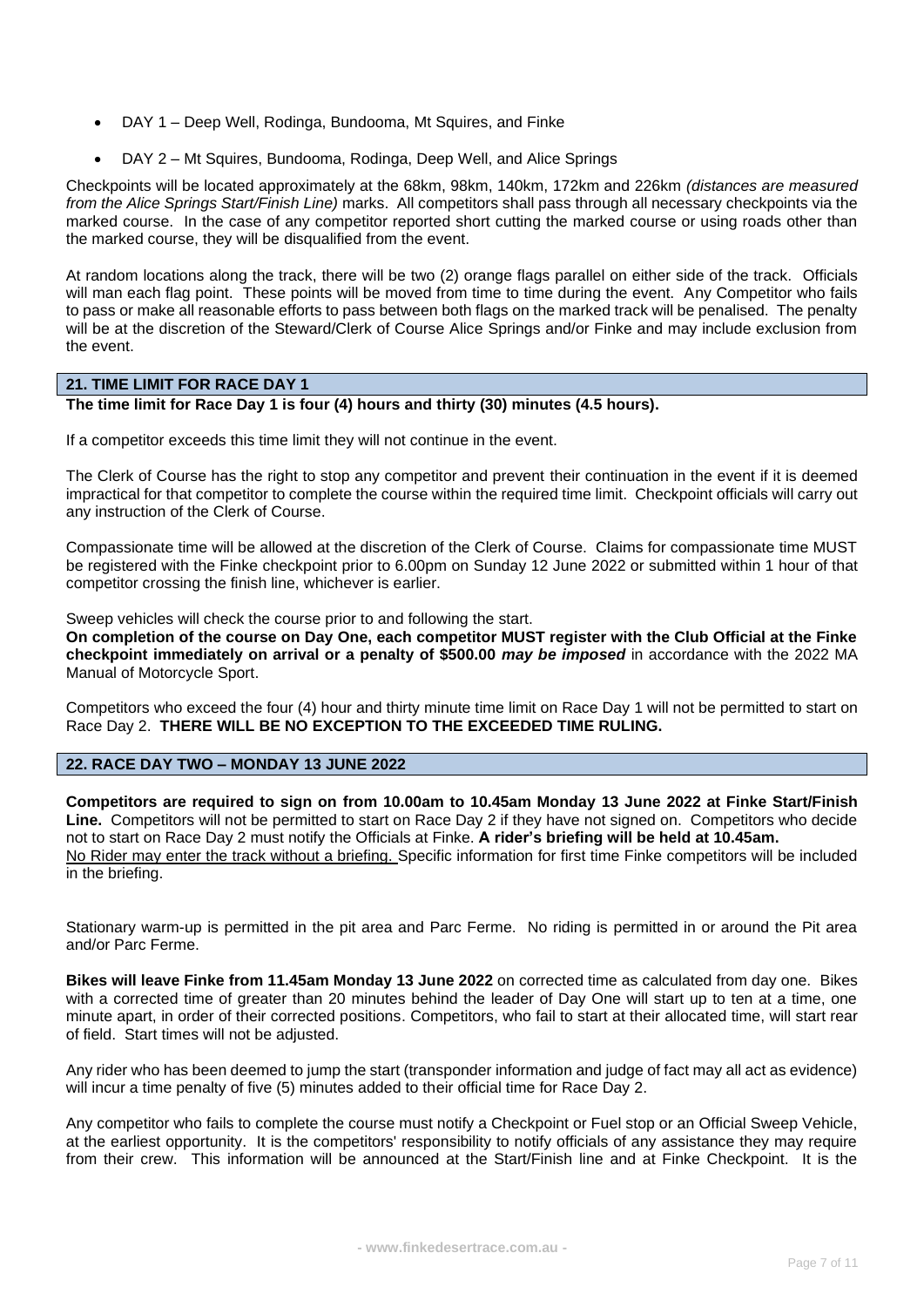- DAY 1 Deep Well, Rodinga, Bundooma, Mt Squires, and Finke
- DAY 2 Mt Squires, Bundooma, Rodinga, Deep Well, and Alice Springs

Checkpoints will be located approximately at the 68km, 98km, 140km, 172km and 226km *(distances are measured from the Alice Springs Start/Finish Line)* marks. All competitors shall pass through all necessary checkpoints via the marked course. In the case of any competitor reported short cutting the marked course or using roads other than the marked course, they will be disqualified from the event.

At random locations along the track, there will be two (2) orange flags parallel on either side of the track. Officials will man each flag point. These points will be moved from time to time during the event. Any Competitor who fails to pass or make all reasonable efforts to pass between both flags on the marked track will be penalised. The penalty will be at the discretion of the Steward/Clerk of Course Alice Springs and/or Finke and may include exclusion from the event.

# **21. TIME LIMIT FOR RACE DAY 1**

# **The time limit for Race Day 1 is four (4) hours and thirty (30) minutes (4.5 hours).**

If a competitor exceeds this time limit they will not continue in the event.

The Clerk of Course has the right to stop any competitor and prevent their continuation in the event if it is deemed impractical for that competitor to complete the course within the required time limit. Checkpoint officials will carry out any instruction of the Clerk of Course.

Compassionate time will be allowed at the discretion of the Clerk of Course. Claims for compassionate time MUST be registered with the Finke checkpoint prior to 6.00pm on Sunday 12 June 2022 or submitted within 1 hour of that competitor crossing the finish line, whichever is earlier.

Sweep vehicles will check the course prior to and following the start.

**On completion of the course on Day One, each competitor MUST register with the Club Official at the Finke checkpoint immediately on arrival or a penalty of \$500.00** *may be imposed* in accordance with the 2022 MA Manual of Motorcycle Sport.

Competitors who exceed the four (4) hour and thirty minute time limit on Race Day 1 will not be permitted to start on Race Day 2. **THERE WILL BE NO EXCEPTION TO THE EXCEEDED TIME RULING.**

**22. RACE DAY TWO – MONDAY 13 JUNE 2022**

**Competitors are required to sign on from 10.00am to 10.45am Monday 13 June 2022 at Finke Start/Finish Line.** Competitors will not be permitted to start on Race Day 2 if they have not signed on. Competitors who decide not to start on Race Day 2 must notify the Officials at Finke. **A rider's briefing will be held at 10.45am.**  No Rider may enter the track without a briefing. Specific information for first time Finke competitors will be included in the briefing.

Stationary warm-up is permitted in the pit area and Parc Ferme. No riding is permitted in or around the Pit area and/or Parc Ferme.

**Bikes will leave Finke from 11.45am Monday 13 June 2022** on corrected time as calculated from day one. Bikes with a corrected time of greater than 20 minutes behind the leader of Day One will start up to ten at a time, one minute apart, in order of their corrected positions. Competitors, who fail to start at their allocated time, will start rear of field. Start times will not be adjusted.

Any rider who has been deemed to jump the start (transponder information and judge of fact may all act as evidence) will incur a time penalty of five (5) minutes added to their official time for Race Day 2.

Any competitor who fails to complete the course must notify a Checkpoint or Fuel stop or an Official Sweep Vehicle, at the earliest opportunity. It is the competitors' responsibility to notify officials of any assistance they may require from their crew. This information will be announced at the Start/Finish line and at Finke Checkpoint. It is the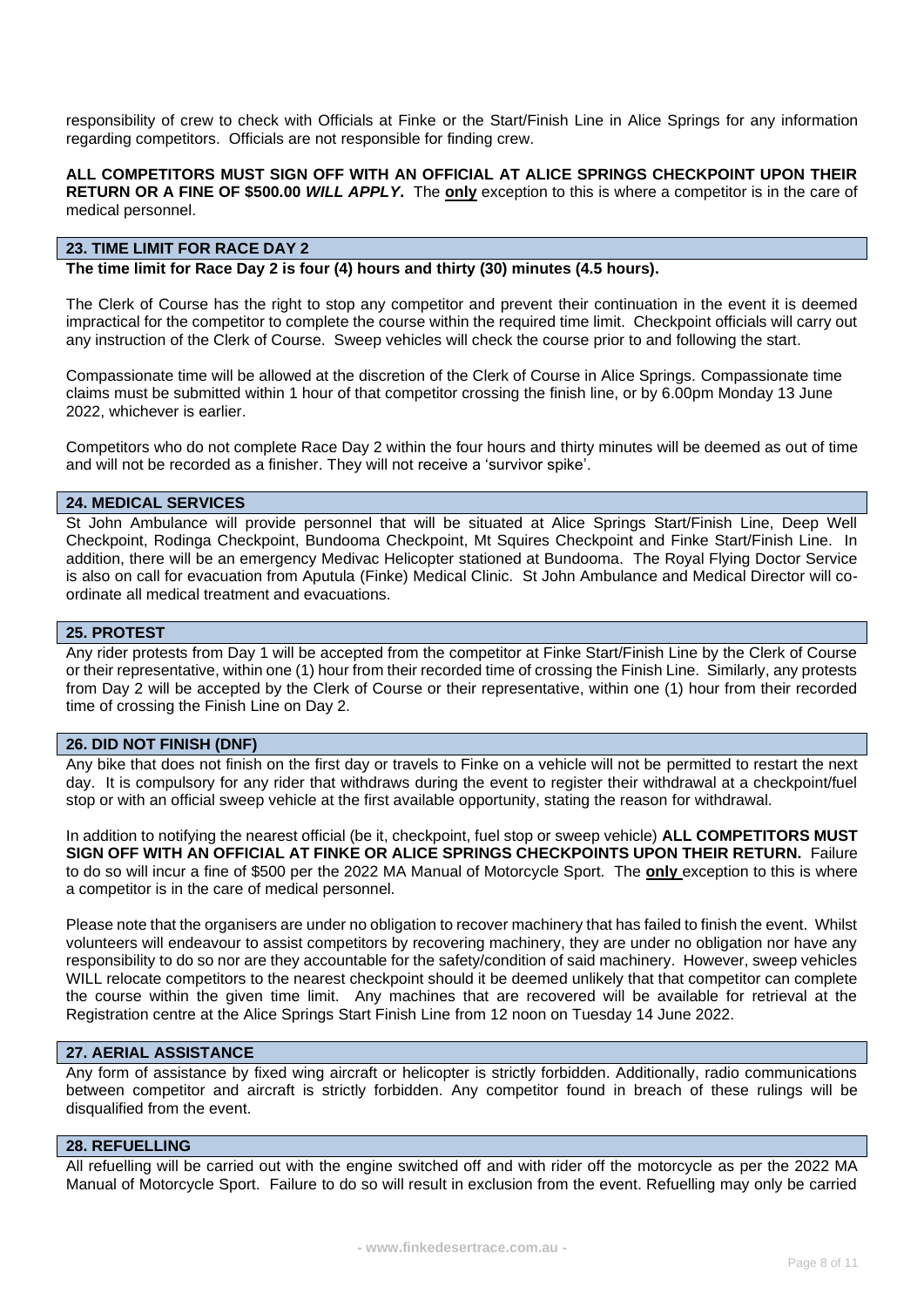responsibility of crew to check with Officials at Finke or the Start/Finish Line in Alice Springs for any information regarding competitors. Officials are not responsible for finding crew.

### **ALL COMPETITORS MUST SIGN OFF WITH AN OFFICIAL AT ALICE SPRINGS CHECKPOINT UPON THEIR RETURN OR A FINE OF \$500.00** *WILL APPLY***.** The **only** exception to this is where a competitor is in the care of medical personnel.

# **23. TIME LIMIT FOR RACE DAY 2**

**The time limit for Race Day 2 is four (4) hours and thirty (30) minutes (4.5 hours).**

The Clerk of Course has the right to stop any competitor and prevent their continuation in the event it is deemed impractical for the competitor to complete the course within the required time limit. Checkpoint officials will carry out any instruction of the Clerk of Course. Sweep vehicles will check the course prior to and following the start.

Compassionate time will be allowed at the discretion of the Clerk of Course in Alice Springs. Compassionate time claims must be submitted within 1 hour of that competitor crossing the finish line, or by 6.00pm Monday 13 June 2022, whichever is earlier.

Competitors who do not complete Race Day 2 within the four hours and thirty minutes will be deemed as out of time and will not be recorded as a finisher. They will not receive a 'survivor spike'.

# **24. MEDICAL SERVICES**

St John Ambulance will provide personnel that will be situated at Alice Springs Start/Finish Line, Deep Well Checkpoint, Rodinga Checkpoint, Bundooma Checkpoint, Mt Squires Checkpoint and Finke Start/Finish Line. In addition, there will be an emergency Medivac Helicopter stationed at Bundooma. The Royal Flying Doctor Service is also on call for evacuation from Aputula (Finke) Medical Clinic. St John Ambulance and Medical Director will coordinate all medical treatment and evacuations.

#### **25. PROTEST**

Any rider protests from Day 1 will be accepted from the competitor at Finke Start/Finish Line by the Clerk of Course or their representative, within one (1) hour from their recorded time of crossing the Finish Line. Similarly, any protests from Day 2 will be accepted by the Clerk of Course or their representative, within one (1) hour from their recorded time of crossing the Finish Line on Day 2.

#### **26. DID NOT FINISH (DNF)**

Any bike that does not finish on the first day or travels to Finke on a vehicle will not be permitted to restart the next day. It is compulsory for any rider that withdraws during the event to register their withdrawal at a checkpoint/fuel stop or with an official sweep vehicle at the first available opportunity, stating the reason for withdrawal.

In addition to notifying the nearest official (be it, checkpoint, fuel stop or sweep vehicle) **ALL COMPETITORS MUST SIGN OFF WITH AN OFFICIAL AT FINKE OR ALICE SPRINGS CHECKPOINTS UPON THEIR RETURN.** Failure to do so will incur a fine of \$500 per the 2022 MA Manual of Motorcycle Sport. The **only** exception to this is where a competitor is in the care of medical personnel.

Please note that the organisers are under no obligation to recover machinery that has failed to finish the event. Whilst volunteers will endeavour to assist competitors by recovering machinery, they are under no obligation nor have any responsibility to do so nor are they accountable for the safety/condition of said machinery. However, sweep vehicles WILL relocate competitors to the nearest checkpoint should it be deemed unlikely that that competitor can complete the course within the given time limit. Any machines that are recovered will be available for retrieval at the Registration centre at the Alice Springs Start Finish Line from 12 noon on Tuesday 14 June 2022.

# **27. AERIAL ASSISTANCE**

Any form of assistance by fixed wing aircraft or helicopter is strictly forbidden. Additionally, radio communications between competitor and aircraft is strictly forbidden. Any competitor found in breach of these rulings will be disqualified from the event.

### **28. REFUELLING**

All refuelling will be carried out with the engine switched off and with rider off the motorcycle as per the 2022 MA Manual of Motorcycle Sport. Failure to do so will result in exclusion from the event. Refuelling may only be carried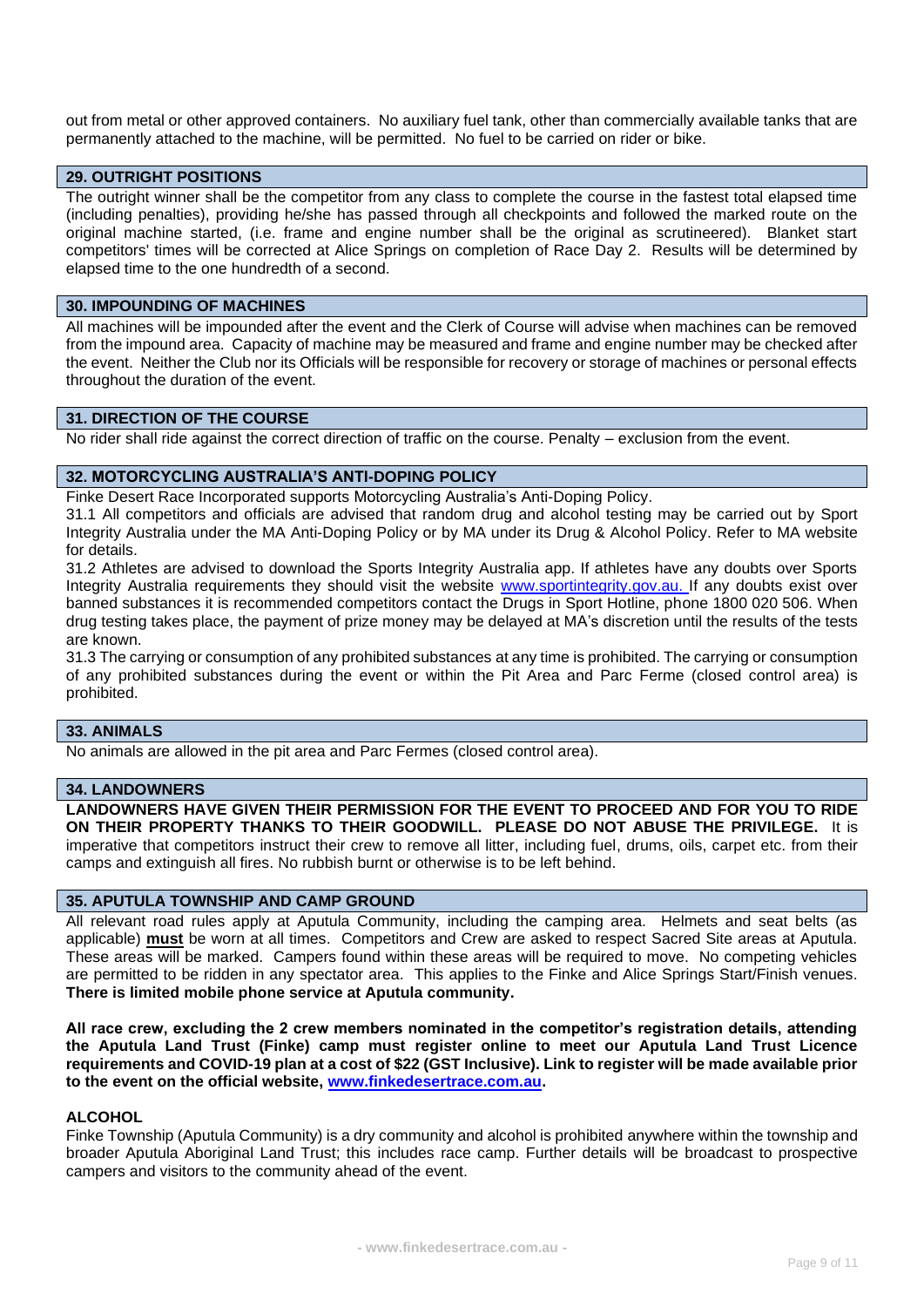out from metal or other approved containers. No auxiliary fuel tank, other than commercially available tanks that are permanently attached to the machine, will be permitted. No fuel to be carried on rider or bike.

### **29. OUTRIGHT POSITIONS**

The outright winner shall be the competitor from any class to complete the course in the fastest total elapsed time (including penalties), providing he/she has passed through all checkpoints and followed the marked route on the original machine started, (i.e. frame and engine number shall be the original as scrutineered). Blanket start competitors' times will be corrected at Alice Springs on completion of Race Day 2. Results will be determined by elapsed time to the one hundredth of a second.

#### **30. IMPOUNDING OF MACHINES**

All machines will be impounded after the event and the Clerk of Course will advise when machines can be removed from the impound area. Capacity of machine may be measured and frame and engine number may be checked after the event. Neither the Club nor its Officials will be responsible for recovery or storage of machines or personal effects throughout the duration of the event.

# **31. DIRECTION OF THE COURSE**

No rider shall ride against the correct direction of traffic on the course. Penalty – exclusion from the event.

# **32. MOTORCYCLING AUSTRALIA'S ANTI-DOPING POLICY**

Finke Desert Race Incorporated supports Motorcycling Australia's Anti-Doping Policy.

31.1 All competitors and officials are advised that random drug and alcohol testing may be carried out by Sport Integrity Australia under the MA Anti-Doping Policy or by MA under its Drug & Alcohol Policy. Refer to MA website for details.

31.2 Athletes are advised to download the Sports Integrity Australia app. If athletes have any doubts over Sports Integrity Australia requirements they should visit the website [www.sportintegrity.gov.au.](http://www.sportintegrity.gov.au/) If any doubts exist over banned substances it is recommended competitors contact the Drugs in Sport Hotline, phone 1800 020 506. When drug testing takes place, the payment of prize money may be delayed at MA's discretion until the results of the tests are known.

31.3 The carrying or consumption of any prohibited substances at any time is prohibited. The carrying or consumption of any prohibited substances during the event or within the Pit Area and Parc Ferme (closed control area) is prohibited.

### **33. ANIMALS**

No animals are allowed in the pit area and Parc Fermes (closed control area).

### **34. LANDOWNERS**

**LANDOWNERS HAVE GIVEN THEIR PERMISSION FOR THE EVENT TO PROCEED AND FOR YOU TO RIDE ON THEIR PROPERTY THANKS TO THEIR GOODWILL. PLEASE DO NOT ABUSE THE PRIVILEGE.** It is imperative that competitors instruct their crew to remove all litter, including fuel, drums, oils, carpet etc. from their camps and extinguish all fires. No rubbish burnt or otherwise is to be left behind.

### **35. APUTULA TOWNSHIP AND CAMP GROUND**

All relevant road rules apply at Aputula Community, including the camping area. Helmets and seat belts (as applicable) **must** be worn at all times. Competitors and Crew are asked to respect Sacred Site areas at Aputula. These areas will be marked. Campers found within these areas will be required to move. No competing vehicles are permitted to be ridden in any spectator area. This applies to the Finke and Alice Springs Start/Finish venues. **There is limited mobile phone service at Aputula community.**

**All race crew, excluding the 2 crew members nominated in the competitor's registration details, attending the Aputula Land Trust (Finke) camp must register online to meet our Aputula Land Trust Licence requirements and COVID-19 plan at a cost of \$22 (GST Inclusive). Link to register will be made available prior to the event on the official website, [www.finkedesertrace.com.au.](http://www.finkedesertrace.com.au/)**

#### **ALCOHOL**

Finke Township (Aputula Community) is a dry community and alcohol is prohibited anywhere within the township and broader Aputula Aboriginal Land Trust; this includes race camp. Further details will be broadcast to prospective campers and visitors to the community ahead of the event.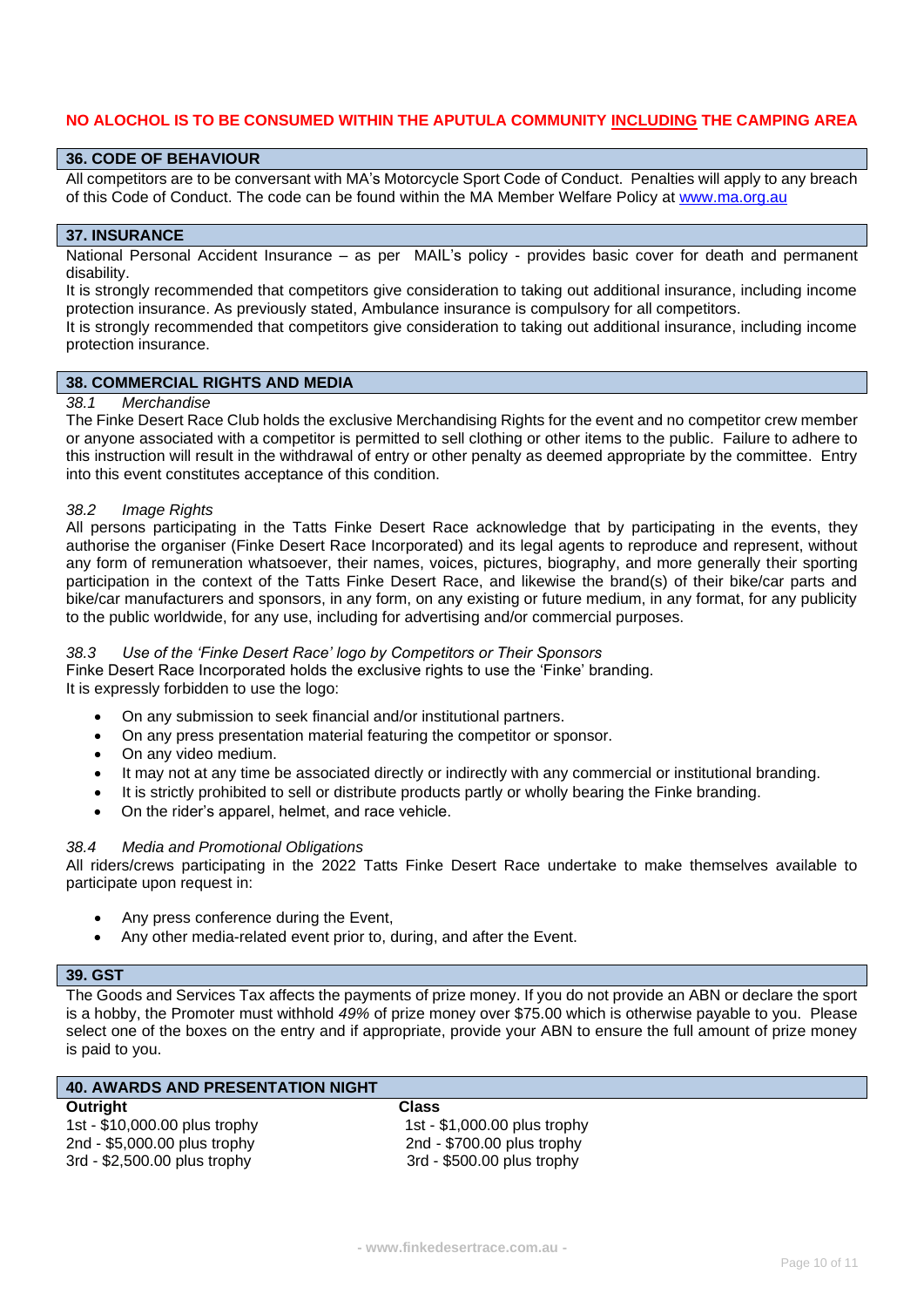# **NO ALOCHOL IS TO BE CONSUMED WITHIN THE APUTULA COMMUNITY INCLUDING THE CAMPING AREA**

#### **36. CODE OF BEHAVIOUR**

All competitors are to be conversant with MA's Motorcycle Sport Code of Conduct. Penalties will apply to any breach of this Code of Conduct. The code can be found within the MA Member Welfare Policy at [www.ma.org.au](http://www.ma.org.au/)

#### **37. INSURANCE**

National Personal Accident Insurance – as per MAIL's policy - provides basic cover for death and permanent disability.

It is strongly recommended that competitors give consideration to taking out additional insurance, including income protection insurance. As previously stated, Ambulance insurance is compulsory for all competitors.

It is strongly recommended that competitors give consideration to taking out additional insurance, including income protection insurance.

# **38. COMMERCIAL RIGHTS AND MEDIA**

#### *38.1 Merchandise*

The Finke Desert Race Club holds the exclusive Merchandising Rights for the event and no competitor crew member or anyone associated with a competitor is permitted to sell clothing or other items to the public. Failure to adhere to this instruction will result in the withdrawal of entry or other penalty as deemed appropriate by the committee. Entry into this event constitutes acceptance of this condition.

#### *38.2 Image Rights*

All persons participating in the Tatts Finke Desert Race acknowledge that by participating in the events, they authorise the organiser (Finke Desert Race Incorporated) and its legal agents to reproduce and represent, without any form of remuneration whatsoever, their names, voices, pictures, biography, and more generally their sporting participation in the context of the Tatts Finke Desert Race, and likewise the brand(s) of their bike/car parts and bike/car manufacturers and sponsors, in any form, on any existing or future medium, in any format, for any publicity to the public worldwide, for any use, including for advertising and/or commercial purposes.

#### *38.3 Use of the 'Finke Desert Race' logo by Competitors or Their Sponsors*

Finke Desert Race Incorporated holds the exclusive rights to use the 'Finke' branding. It is expressly forbidden to use the logo:

- On any submission to seek financial and/or institutional partners.
- On any press presentation material featuring the competitor or sponsor.
- On any video medium.
- It may not at any time be associated directly or indirectly with any commercial or institutional branding.
- It is strictly prohibited to sell or distribute products partly or wholly bearing the Finke branding.
- On the rider's apparel, helmet, and race vehicle.

#### *38.4 Media and Promotional Obligations*

All riders/crews participating in the 2022 Tatts Finke Desert Race undertake to make themselves available to participate upon request in:

- Any press conference during the Event,
- Any other media-related event prior to, during, and after the Event.

#### **39. GST**

The Goods and Services Tax affects the payments of prize money. If you do not provide an ABN or declare the sport is a hobby, the Promoter must withhold *49%* of prize money over \$75.00 which is otherwise payable to you. Please select one of the boxes on the entry and if appropriate, provide your ABN to ensure the full amount of prize money is paid to you.

| <b>40. AWARDS AND PRESENTATION NIGHT</b> |                              |
|------------------------------------------|------------------------------|
| Outright                                 | Class                        |
| 1st - \$10,000.00 plus trophy            | 1st - \$1,000.00 plus trophy |
| 2nd - \$5,000.00 plus trophy             | 2nd - \$700.00 plus trophy   |
| 3rd - \$2,500.00 plus trophy             | 3rd - \$500.00 plus trophy   |